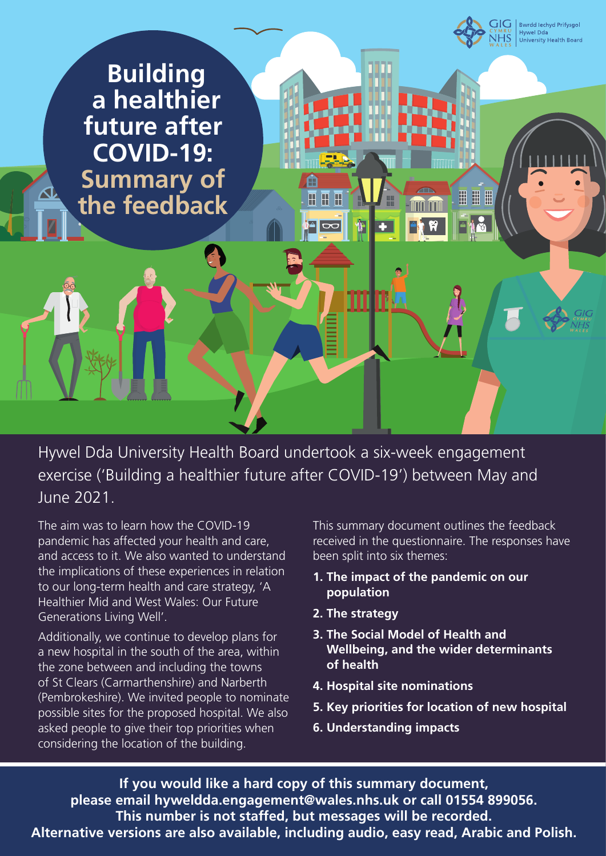

Hywel Dda University Health Board undertook a six-week engagement exercise ('Building a healthier future after COVID-19') between May and June 2021.

The aim was to learn how the COVID-19 pandemic has affected your health and care, and access to it. We also wanted to understand the implications of these experiences in relation to our long-term health and care strategy, 'A Healthier Mid and West Wales: Our Future Generations Living Well'.

Additionally, we continue to develop plans for a new hospital in the south of the area, within the zone between and including the towns of St Clears (Carmarthenshire) and Narberth (Pembrokeshire). We invited people to nominate possible sites for the proposed hospital. We also asked people to give their top priorities when considering the location of the building.

This summary document outlines the feedback received in the questionnaire. The responses have been split into six themes:

- **1. The impact of the pandemic on our population**
- **2. The strategy**
- **3. The Social Model of Health and Wellbeing, and the wider determinants of health**
- **4. Hospital site nominations**
- **5. Key priorities for location of new hospital**
- **6. Understanding impacts**

**If you would like a hard copy of this summary document, please email hyweldda.engagement@wales.nhs.uk or call 01554 899056. This number is not staffed, but messages will be recorded. Alternative versions are also available, including audio, easy read, Arabic and Polish.**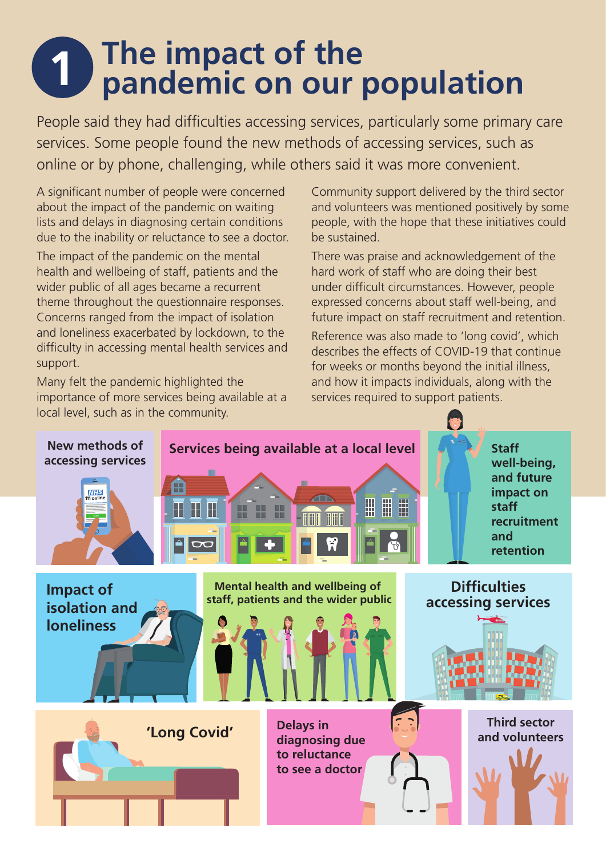## **1** The impact of the<br> **1 pandemic on our population**

People said they had difficulties accessing services, particularly some primary care services. Some people found the new methods of accessing services, such as online or by phone, challenging, while others said it was more convenient.

A significant number of people were concerned about the impact of the pandemic on waiting lists and delays in diagnosing certain conditions due to the inability or reluctance to see a doctor.

The impact of the pandemic on the mental health and wellbeing of staff, patients and the wider public of all ages became a recurrent theme throughout the questionnaire responses. Concerns ranged from the impact of isolation and loneliness exacerbated by lockdown, to the difficulty in accessing mental health services and support.

Many felt the pandemic highlighted the importance of more services being available at a local level, such as in the community.

Community support delivered by the third sector and volunteers was mentioned positively by some people, with the hope that these initiatives could be sustained.

There was praise and acknowledgement of the hard work of staff who are doing their best under difficult circumstances. However, people expressed concerns about staff well-being, and future impact on staff recruitment and retention.

Reference was also made to 'long covid', which describes the effects of COVID-19 that continue for weeks or months beyond the initial illness, and how it impacts individuals, along with the services required to support patients.

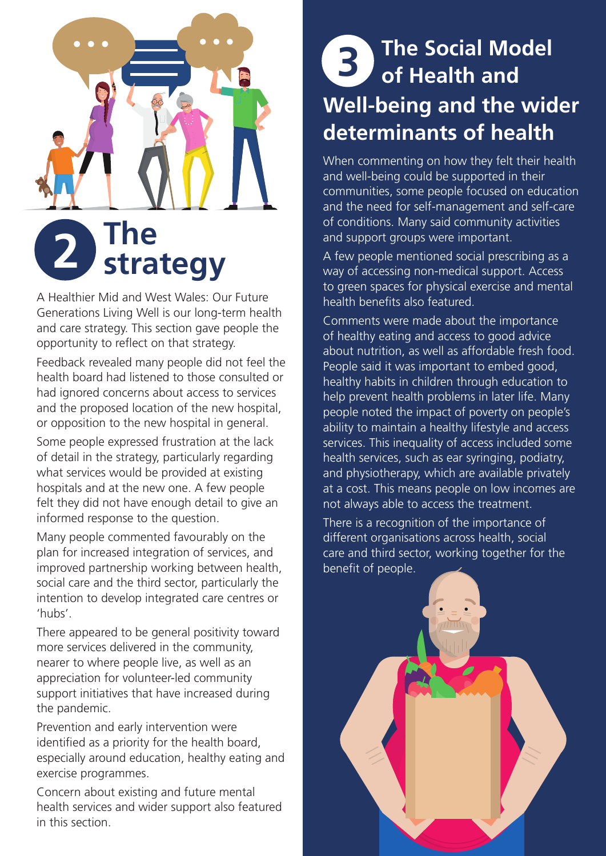

A Healthier Mid and West Wales: Our Future Generations Living Well is our long-term health and care strategy. This section gave people the opportunity to reflect on that strategy.

Feedback revealed many people did not feel the health board had listened to those consulted or had ignored concerns about access to services and the proposed location of the new hospital, or opposition to the new hospital in general.

Some people expressed frustration at the lack of detail in the strategy, particularly regarding what services would be provided at existing hospitals and at the new one. A few people felt they did not have enough detail to give an informed response to the question.

Many people commented favourably on the plan for increased integration of services, and improved partnership working between health, social care and the third sector, particularly the intention to develop integrated care centres or 'hubs'.

There appeared to be general positivity toward more services delivered in the community, nearer to where people live, as well as an appreciation for volunteer-led community support initiatives that have increased during the pandemic.

Prevention and early intervention were identified as a priority for the health board, especially around education, healthy eating and exercise programmes.

Concern about existing and future mental health services and wider support also featured in this section.

### **3 The Social Model of Health and Well-being and the wider determinants of health**

When commenting on how they felt their health and well-being could be supported in their communities, some people focused on education and the need for self-management and self-care of conditions. Many said community activities and support groups were important.

A few people mentioned social prescribing as a way of accessing non-medical support. Access to green spaces for physical exercise and mental health benefits also featured.

Comments were made about the importance of healthy eating and access to good advice about nutrition, as well as affordable fresh food. People said it was important to embed good, healthy habits in children through education to help prevent health problems in later life. Many people noted the impact of poverty on people's ability to maintain a healthy lifestyle and access services. This inequality of access included some health services, such as ear syringing, podiatry, and physiotherapy, which are available privately at a cost. This means people on low incomes are not always able to access the treatment.

There is a recognition of the importance of different organisations across health, social care and third sector, working together for the benefit of people.

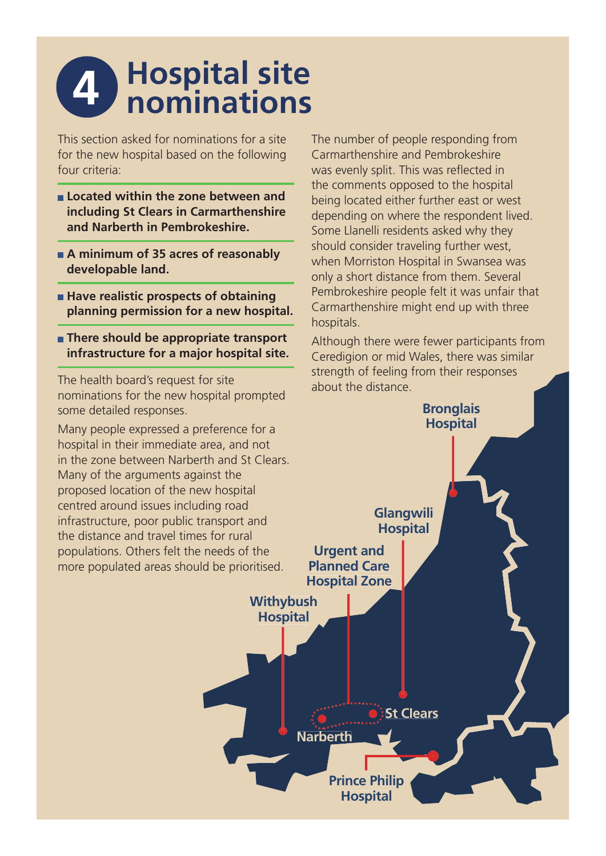### **4 Hospital site nominations**

This section asked for nominations for a site for the new hospital based on the following four criteria:

- **Located within the zone between and including St Clears in Carmarthenshire and Narberth in Pembrokeshire.**
- **A minimum of 35 acres of reasonably developable land.**
- **Have realistic prospects of obtaining planning permission for a new hospital.**
- **There should be appropriate transport infrastructure for a major hospital site.**

The health board's request for site nominations for the new hospital prompted some detailed responses.

Many people expressed a preference for a hospital in their immediate area, and not in the zone between Narberth and St Clears. Many of the arguments against the proposed location of the new hospital centred around issues including road infrastructure, poor public transport and the distance and travel times for rural populations. Others felt the needs of the more populated areas should be prioritised.

The number of people responding from Carmarthenshire and Pembrokeshire was evenly split. This was reflected in the comments opposed to the hospital being located either further east or west depending on where the respondent lived. Some Llanelli residents asked why they should consider traveling further west, when Morriston Hospital in Swansea was only a short distance from them. Several Pembrokeshire people felt it was unfair that Carmarthenshire might end up with three hospitals.

Although there were fewer participants from Ceredigion or mid Wales, there was similar strength of feeling from their responses about the distance.

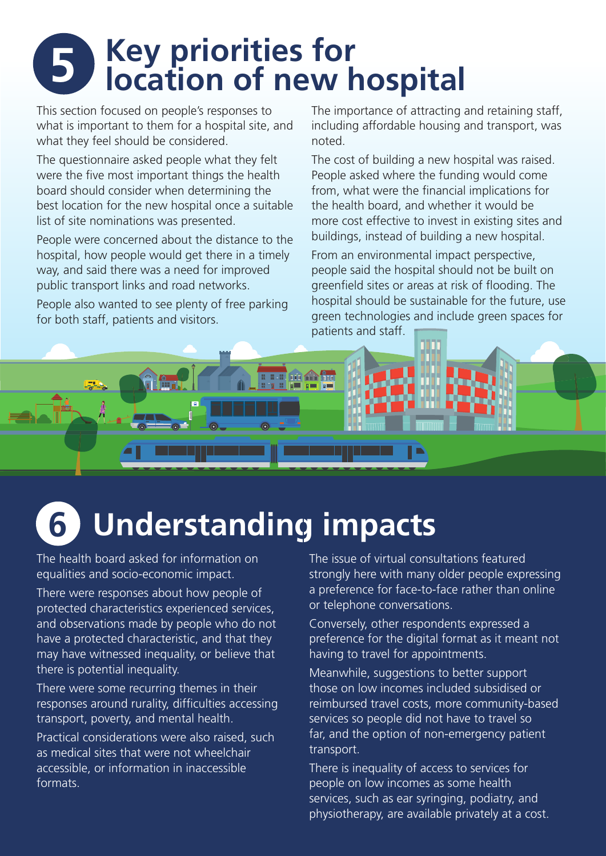## **5 Key priorities for location of new hospital**

This section focused on people's responses to what is important to them for a hospital site, and what they feel should be considered.

The questionnaire asked people what they felt were the five most important things the health board should consider when determining the best location for the new hospital once a suitable list of site nominations was presented.

People were concerned about the distance to the hospital, how people would get there in a timely way, and said there was a need for improved public transport links and road networks.

People also wanted to see plenty of free parking for both staff, patients and visitors.

The importance of attracting and retaining staff, including affordable housing and transport, was noted.

The cost of building a new hospital was raised. People asked where the funding would come from, what were the financial implications for the health board, and whether it would be more cost effective to invest in existing sites and buildings, instead of building a new hospital.

From an environmental impact perspective, people said the hospital should not be built on greenfield sites or areas at risk of flooding. The hospital should be sustainable for the future, use green technologies and include green spaces for patients and staff.



### **6 Understanding impacts**

The health board asked for information on equalities and socio-economic impact.

There were responses about how people of protected characteristics experienced services, and observations made by people who do not have a protected characteristic, and that they may have witnessed inequality, or believe that there is potential inequality.

There were some recurring themes in their responses around rurality, difficulties accessing transport, poverty, and mental health.

Practical considerations were also raised, such as medical sites that were not wheelchair accessible, or information in inaccessible formats.

The issue of virtual consultations featured strongly here with many older people expressing a preference for face-to-face rather than online or telephone conversations.

Conversely, other respondents expressed a preference for the digital format as it meant not having to travel for appointments.

Meanwhile, suggestions to better support those on low incomes included subsidised or reimbursed travel costs, more community-based services so people did not have to travel so far, and the option of non-emergency patient transport.

There is inequality of access to services for people on low incomes as some health services, such as ear syringing, podiatry, and physiotherapy, are available privately at a cost.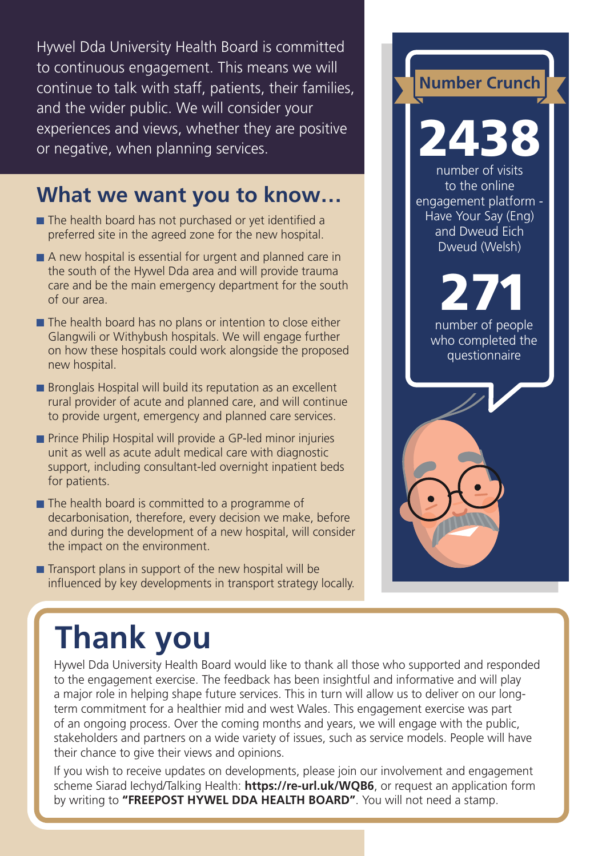Hywel Dda University Health Board is committed to continuous engagement. This means we will continue to talk with staff, patients, their families, and the wider public. We will consider your experiences and views, whether they are positive or negative, when planning services.

#### **What we want you to know…**

- $\blacksquare$  The health board has not purchased or yet identified a preferred site in the agreed zone for the new hospital.
- A new hospital is essential for urgent and planned care in the south of the Hywel Dda area and will provide trauma care and be the main emergency department for the south of our area.
- $\blacksquare$  The health board has no plans or intention to close either Glangwili or Withybush hospitals. We will engage further on how these hospitals could work alongside the proposed new hospital.
- **Bronglais Hospital will build its reputation as an excellent** rural provider of acute and planned care, and will continue to provide urgent, emergency and planned care services.
- **Prince Philip Hospital will provide a GP-led minor injuries** unit as well as acute adult medical care with diagnostic support, including consultant-led overnight inpatient beds for patients.
- $\blacksquare$  The health board is committed to a programme of decarbonisation, therefore, every decision we make, before and during the development of a new hospital, will consider the impact on the environment.
- $\blacksquare$  Transport plans in support of the new hospital will be influenced by key developments in transport strategy locally.

#### **Number Crunch** 2438 number of visits to the online engagement platform - Have Your Say (Eng) and Dweud Fich Dweud (Welsh) number of people 271

who completed the questionnaire

### **Thank you**

Hywel Dda University Health Board would like to thank all those who supported and responded to the engagement exercise. The feedback has been insightful and informative and will play a major role in helping shape future services. This in turn will allow us to deliver on our longterm commitment for a healthier mid and west Wales. This engagement exercise was part of an ongoing process. Over the coming months and years, we will engage with the public, stakeholders and partners on a wide variety of issues, such as service models. People will have their chance to give their views and opinions.

If you wish to receive updates on developments, please join our involvement and engagement scheme Siarad Iechyd/Talking Health: **https://re-url.uk/WQB6**, or request an application form by writing to **"FREEPOST HYWEL DDA HEALTH BOARD"**. You will not need a stamp.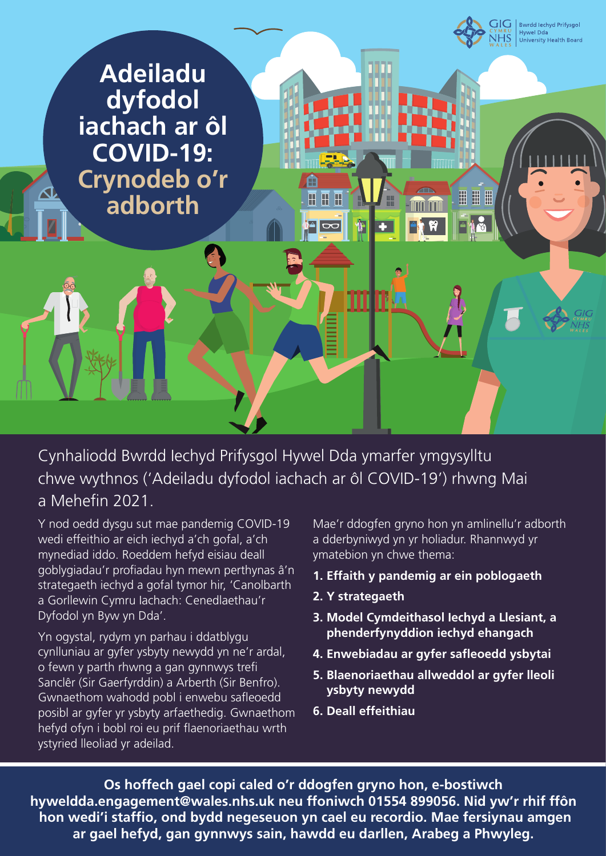

Cynhaliodd Bwrdd Iechyd Prifysgol Hywel Dda ymarfer ymgysylltu chwe wythnos ('Adeiladu dyfodol iachach ar ôl COVID-19') rhwng Mai a Mehefin 2021

Y nod oedd dysgu sut mae pandemig COVID-19 wedi effeithio ar eich iechyd a'ch gofal, a'ch mynediad iddo. Roeddem hefyd eisiau deall goblygiadau'r profiadau hyn mewn perthynas â'n strategaeth iechyd a gofal tymor hir, 'Canolbarth a Gorllewin Cymru Iachach: Cenedlaethau'r Dyfodol yn Byw yn Dda'.

Yn ogystal, rydym yn parhau i ddatblygu cynlluniau ar gyfer ysbyty newydd yn ne'r ardal, o fewn y parth rhwng a gan gynnwys trefi Sanclêr (Sir Gaerfyrddin) a Arberth (Sir Benfro). Gwnaethom wahodd pobl i enwebu safleoedd posibl ar gyfer yr ysbyty arfaethedig. Gwnaethom hefyd ofyn i bobl roi eu prif flaenoriaethau wrth ystyried lleoliad yr adeilad.

Mae'r ddogfen gryno hon yn amlinellu'r adborth a dderbyniwyd yn yr holiadur. Rhannwyd yr ymatebion yn chwe thema:

- **1. Effaith y pandemig ar ein poblogaeth**
- **2. Y strategaeth**
- **3. Model Cymdeithasol Iechyd a Llesiant, a phenderfynyddion iechyd ehangach**
- **4. Enwebiadau ar gyfer safleoedd ysbytai**
- **5. Blaenoriaethau allweddol ar gyfer lleoli ysbyty newydd**
- **6. Deall effeithiau**

**Os hoffech gael copi caled o'r ddogfen gryno hon, e-bostiwch hyweldda.engagement@wales.nhs.uk neu ffoniwch 01554 899056. Nid yw'r rhif ffôn** hon wedi'i staffio, ond bydd negeseuon yn cael eu recordio. Mae fersiynau amgen **ar gael hefyd, gan gynnwys sain, hawdd eu darllen, Arabeg a Phwyleg.**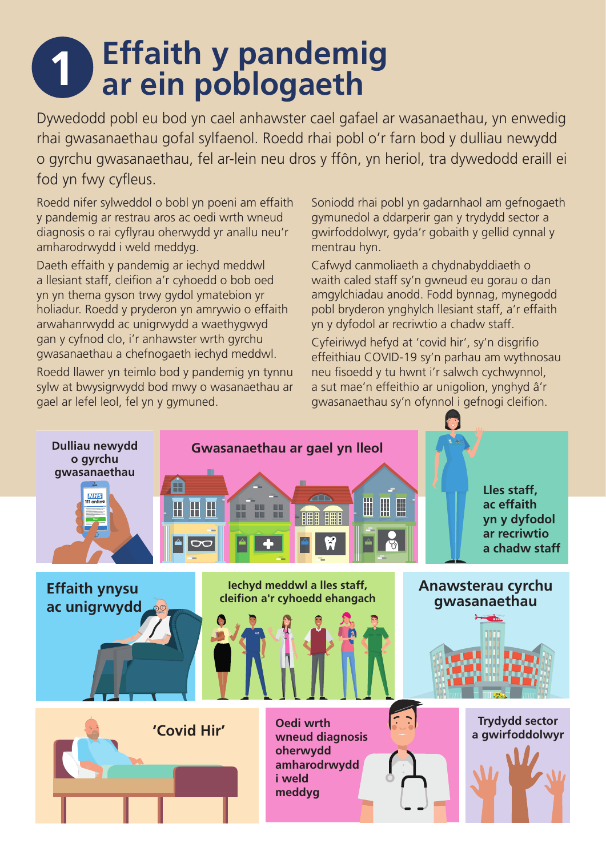## **1 Effaith y pandemig ar ein poblogaeth**

Dywedodd pobl eu bod yn cael anhawster cael gafael ar wasanaethau, yn enwedig rhai gwasanaethau gofal sylfaenol. Roedd rhai pobl o'r farn bod y dulliau newydd o gyrchu gwasanaethau, fel ar-lein neu dros y ffôn, yn heriol, tra dywedodd eraill ei fod yn fwy cyfleus.

Roedd nifer sylweddol o bobl yn poeni am effaith y pandemig ar restrau aros ac oedi wrth wneud diagnosis o rai cyflyrau oherwydd yr anallu neu'r amharodrwydd i weld meddyg.

Daeth effaith y pandemig ar iechyd meddwl a llesiant staff, cleifion a'r cyhoedd o bob oed yn yn thema gyson trwy gydol ymatebion yr holiadur. Roedd y pryderon yn amrywio o effaith arwahanrwydd ac unigrwydd a waethygwyd gan y cyfnod clo, i'r anhawster wrth gyrchu gwasanaethau a chefnogaeth iechyd meddwl.

Roedd llawer yn teimlo bod y pandemig yn tynnu sylw at bwysigrwydd bod mwy o wasanaethau ar gael ar lefel leol, fel yn y gymuned.

Soniodd rhai pobl yn gadarnhaol am gefnogaeth gymunedol a ddarperir gan y trydydd sector a gwirfoddolwyr, gyda'r gobaith y gellid cynnal y mentrau hyn.

Cafwyd canmoliaeth a chydnabyddiaeth o waith caled staff sy'n gwneud eu gorau o dan amgylchiadau anodd. Fodd bynnag, mynegodd pobl bryderon ynghylch llesiant staff, a'r effaith yn y dyfodol ar recriwtio a chadw staff.

Cyfeiriwyd hefyd at 'covid hir', sy'n disgrifio effeithiau COVID-19 sy'n parhau am wythnosau neu fisoedd y tu hwnt i'r salwch cychwynnol, a sut mae'n effeithio ar unigolion, ynghyd â'r gwasanaethau sy'n ofynnol i gefnogi cleifion.

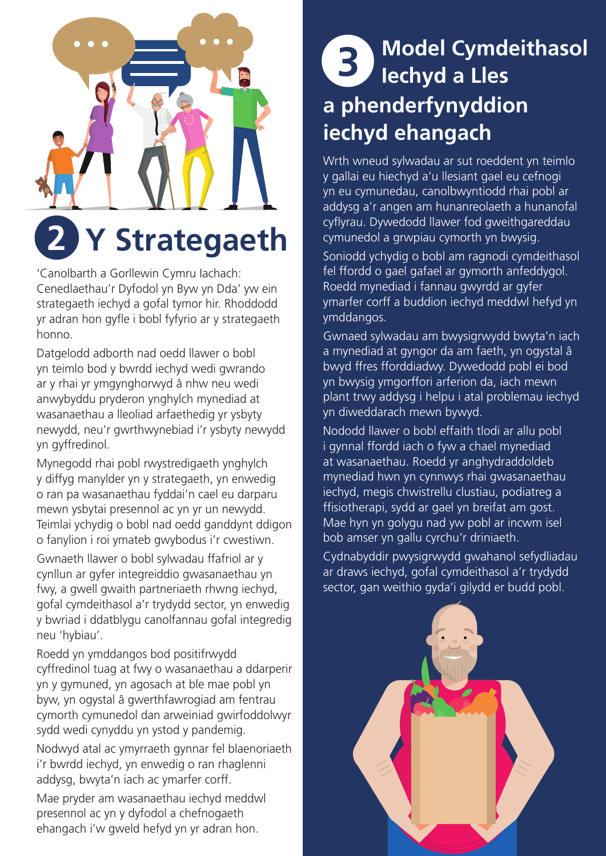

### **2 Y Strategaeth**

'Canolbarth a Gorllewin Cymru Iachach: Cenedlaethau'r Dyfodol yn Byw yn Dda' yw ein strategaeth iechyd a gofal tymor hir. Rhoddodd yr adran hon gyfle i bobl fyfyrio ar y strategaeth honno.

Datgelodd adborth nad oedd llawer o bobl yn teimlo bod y bwrdd iechyd wedi gwrando ar y rhai yr ymgynghorwyd â nhw neu wedi anwybyddu pryderon ynghylch mynediad at wasanaethau a lleoliad arfaethedig yr ysbyty newydd, neu'r gwrthwynebiad i'r ysbyty newydd yn gyffredinol.

Mynegodd rhai pobl rwystredigaeth ynghylch y diffyg manylder yn y strategaeth, yn enwedig o ran pa wasanaethau fyddai'n cael eu darparu mewn ysbytai presennol ac yn yr un newydd. Teimlai ychydig o bobl nad oedd ganddynt ddigon o fanylion i roi ymateb gwybodus i'r cwestiwn.

Gwnaeth llawer o bobl sylwadau ffafriol ar y cynllun ar gyfer integreiddio gwasanaethau yn fwy, a gwell gwaith partneriaeth rhwng iechyd, gofal cymdeithasol a'r trydydd sector, yn enwedig y bwriad i ddatblygu canolfannau gofal integredig neu 'hybiau'.

Roedd yn ymddangos bod positifrwydd cyffredinol tuag at fwy o wasanaethau a ddarperir yn y gymuned, yn agosach at ble mae pobl yn byw, yn ogystal â gwerthfawrogiad am fentrau cymorth cymunedol dan arweiniad gwirfoddolwyr sydd wedi cynyddu yn ystod y pandemig.

Nodwyd atal ac ymyrraeth gynnar fel blaenoriaeth i'r bwrdd iechyd, yn enwedig o ran rhaglenni addysg, bwyta'n iach ac ymarfer corff.

Mae pryder am wasanaethau iechyd meddwl presennol ac yn y dyfodol a chefnogaeth ehangach i'w gweld hefyd yn yr adran hon.

#### **are the pools of the pools of the pools of the pools of the pools of the pools of the pools of the pools of the pools of the pools of the pools of the pools of the pools of the pools of the pools of the pools of the pools Iechyd a Lles a phenderfynyddion iechyd ehangach**

Wrth wneud sylwadau ar sut roeddent yn teimlo y gallai eu hiechyd a'u llesiant gael eu cefnogi yn eu cymunedau, canolbwyntiodd rhai pobl ar addysg a'r angen am hunanreolaeth a hunanofal cyflyrau. Dywedodd llawer fod gweithgareddau cymunedol a grwpiau cymorth yn bwysig.

Soniodd ychydig o bobl am ragnodi cymdeithasol fel ffordd o gael gafael ar gymorth anfeddygol. Roedd mynediad i fannau gwyrdd ar gyfer ymarfer corff a buddion iechyd meddwl hefyd yn ymddangos.

Gwnaed sylwadau am bwysigrwydd bwyta'n iach a mynediad at gyngor da am faeth, yn ogystal â bwyd ffres fforddiadwy. Dywedodd pobl ei bod yn bwysig ymgorffori arferion da, iach mewn plant trwy addysg i helpu i atal problemau iechyd yn diweddarach mewn bywyd.

Nododd llawer o bobl effaith tlodi ar allu pobl i gynnal ffordd iach o fyw a chael mynediad at wasanaethau. Roedd yr anghydraddoldeb mynediad hwn yn cynnwys rhai gwasanaethau iechyd, megis chwistrellu clustiau, podiatreg a ffisiotherapi, sydd ar gael yn breifat am gost. Mae hyn yn golygu nad yw pobl ar incwm isel bob amser yn gallu cyrchu'r driniaeth.

Cydnabyddir pwysigrwydd gwahanol sefydliadau ar draws iechyd, gofal cymdeithasol a'r trydydd sector, gan weithio gyda'i gilydd er budd pobl.

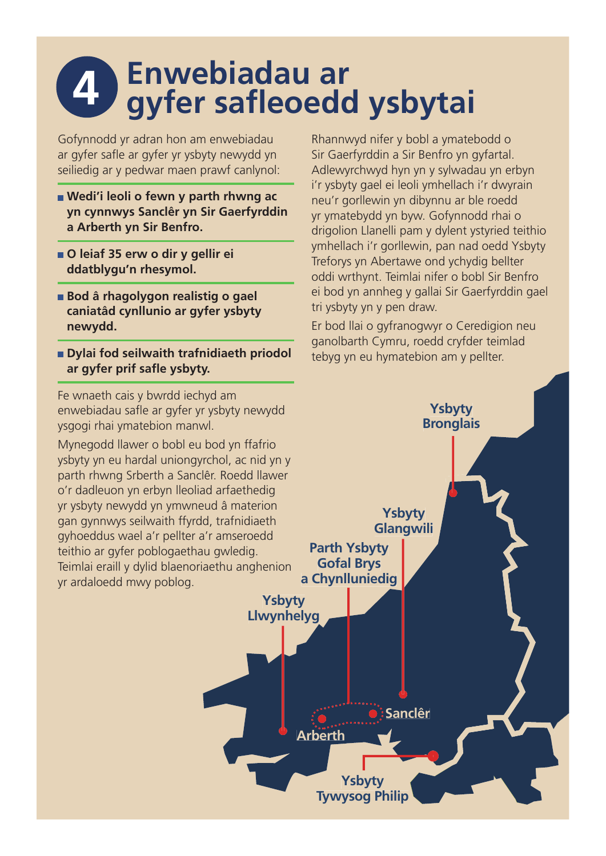## **4** Enwebiadau ar<br> **4** gyfer safleoedd ysbytai

Gofynnodd yr adran hon am enwebiadau ar gyfer safle ar gyfer yr ysbyty newydd yn seiliedig ar y pedwar maen prawf canlynol:

- **Wedi'i leoli o fewn y parth rhwng ac yn cynnwys Sanclêr yn Sir Gaerfyrddin a Arberth yn Sir Benfro.**
- **O leiaf 35 erw o dir y gellir ei ddatblygu'n rhesymol.**
- **Bod â rhagolygon realistig o gael caniatâd cynllunio ar gyfer ysbyty newydd.**
- **Dylai fod seilwaith trafnidiaeth priodol**  ar gyfer prif safle ysbyty.

Fe wnaeth cais y bwrdd iechyd am enwebiadau safle ar gyfer yr ysbyty newydd ysgogi rhai ymatebion manwl.

Mynegodd llawer o bobl eu bod yn ffafrio ysbyty yn eu hardal uniongyrchol, ac nid yn y parth rhwng Srberth a Sanclêr. Roedd llawer o'r dadleuon yn erbyn lleoliad arfaethedig yr ysbyty newydd yn ymwneud â materion gan gynnwys seilwaith ffyrdd, trafnidiaeth gyhoeddus wael a'r pellter a'r amseroedd teithio ar gyfer poblogaethau gwledig. Teimlai eraill y dylid blaenoriaethu anghenion yr ardaloedd mwy poblog.

Rhannwyd nifer y bobl a ymatebodd o Sir Gaerfyrddin a Sir Benfro yn gyfartal. Adlewyrchwyd hyn yn y sylwadau yn erbyn i'r ysbyty gael ei leoli ymhellach i'r dwyrain neu'r gorllewin yn dibynnu ar ble roedd yr ymatebydd yn byw. Gofynnodd rhai o drigolion Llanelli pam y dylent ystyried teithio ymhellach i'r gorllewin, pan nad oedd Ysbyty Treforys yn Abertawe ond ychydig bellter oddi wrthynt. Teimlai nifer o bobl Sir Benfro ei bod yn annheg y gallai Sir Gaerfyrddin gael tri ysbyty yn y pen draw.

Er bod llai o gyfranogwyr o Ceredigion neu ganolbarth Cymru, roedd cryfder teimlad tebyg yn eu hymatebion am y pellter.

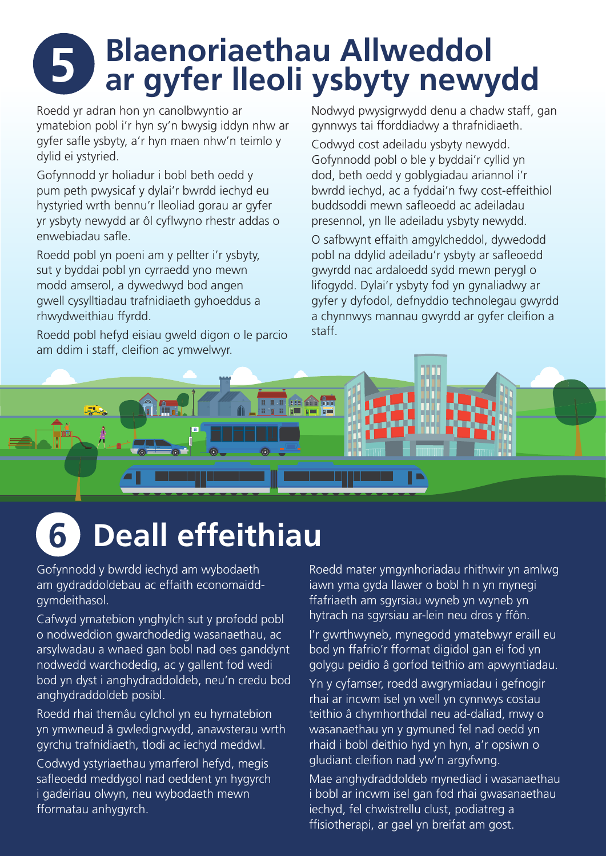# **5 Blaenoriaethau Allweddol ar gyfer lleoli ysbyty newydd**

Roedd yr adran hon yn canolbwyntio ar ymatebion pobl i'r hyn sy'n bwysig iddyn nhw ar gyfer safle ysbyty, a'r hyn maen nhw'n teimlo y dylid ei ystyried.

Gofynnodd yr holiadur i bobl beth oedd y pum peth pwysicaf y dylai'r bwrdd iechyd eu hystyried wrth bennu'r lleoliad gorau ar gyfer yr ysbyty newydd ar ôl cyflwyno rhestr addas o enwebiadau safle

Roedd pobl yn poeni am y pellter i'r ysbyty, sut y byddai pobl yn cyrraedd yno mewn modd amserol, a dywedwyd bod angen gwell cysylltiadau trafnidiaeth gyhoeddus a rhwydweithiau ffyrdd.

Roedd pobl hefyd eisiau gweld digon o le parcio am ddim i staff, cleifion ac ymwelwyr.

Nodwyd pwysigrwydd denu a chadw staff, gan gynnwys tai fforddiadwy a thrafnidiaeth.

Codwyd cost adeiladu ysbyty newydd. Gofynnodd pobl o ble y byddai'r cyllid yn dod, beth oedd y goblygiadau ariannol i'r bwrdd iechyd, ac a fyddai'n fwy cost-effeithiol buddsoddi mewn safleoedd ac adeiladau presennol, yn lle adeiladu ysbyty newydd.

O safbwynt effaith amgylcheddol, dywedodd pobl na ddylid adeiladu'r ysbyty ar safleoedd gwyrdd nac ardaloedd sydd mewn perygl o lifogydd. Dylai'r ysbyty fod yn gynaliadwy ar gyfer y dyfodol, defnyddio technolegau gwyrdd a chynnwys mannau gwyrdd ar gyfer cleifion a staff.



## **6 Deall effeithiau**

Gofynnodd y bwrdd iechyd am wybodaeth am gydraddoldebau ac effaith economaiddgymdeithasol.

Cafwyd ymatebion ynghylch sut y profodd pobl o nodweddion gwarchodedig wasanaethau, ac arsylwadau a wnaed gan bobl nad oes ganddynt nodwedd warchodedig, ac y gallent fod wedi bod yn dyst i anghydraddoldeb, neu'n credu bod anghydraddoldeb posibl.

Roedd rhai themâu cylchol yn eu hymatebion yn ymwneud â gwledigrwydd, anawsterau wrth gyrchu trafnidiaeth, tlodi ac iechyd meddwl.

Codwyd ystyriaethau ymarferol hefyd, megis safleoedd meddygol nad oeddent yn hygyrch i gadeiriau olwyn, neu wybodaeth mewn fformatau anhygyrch.

Roedd mater ymgynhoriadau rhithwir yn amlwg iawn yma gyda llawer o bobl h n yn mynegi ffafriaeth am sgyrsiau wyneb yn wyneb yn hytrach na sgyrsiau ar-lein neu dros y ffôn.

I'r gwrthwyneb, mynegodd ymatebwyr eraill eu bod yn ffafrio'r fformat digidol gan ei fod yn golygu peidio â gorfod teithio am apwyntiadau.

Yn y cyfamser, roedd awgrymiadau i gefnogir rhai ar incwm isel yn well yn cynnwys costau teithio â chymhorthdal neu ad-daliad, mwy o wasanaethau yn y gymuned fel nad oedd yn rhaid i bobl deithio hyd yn hyn, a'r opsiwn o gludiant cleifion nad yw'n argyfwng.

Mae anghydraddoldeb mynediad i wasanaethau i bobl ar incwm isel gan fod rhai gwasanaethau iechyd, fel chwistrellu clust, podiatreg a ffisiotherapi, ar gael yn breifat am gost.